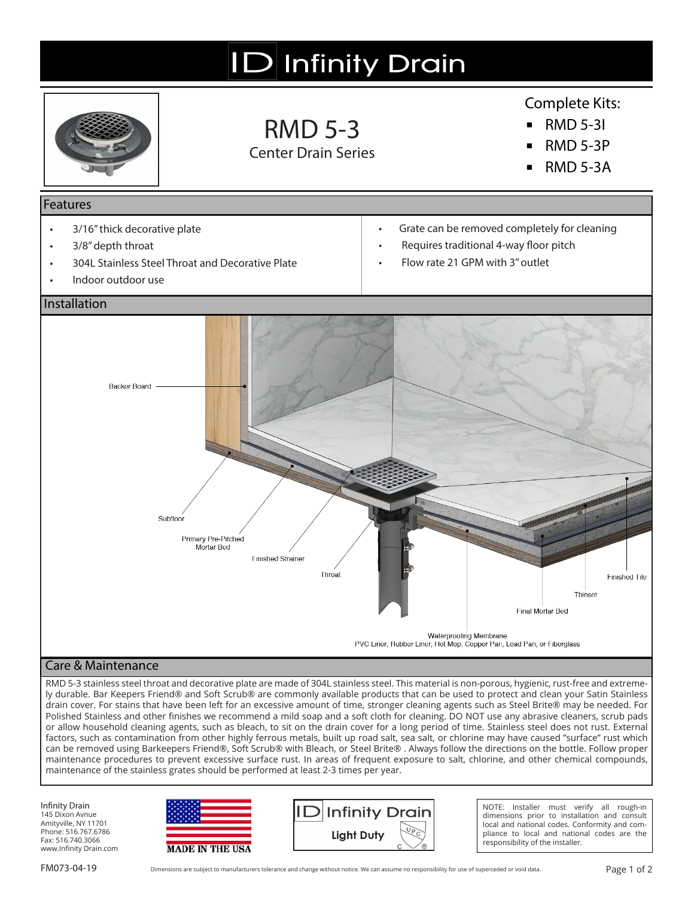# **ID** Infinity Drain



### RMD 5-3 Center Drain Series

### Complete Kits:

- **▪** RMD 5-3I
- **▪** RMD 5-3P
- **▪** RMD 5-3A

#### Features

- 3/16" thick decorative plate
- 3/8" depth throat
- 304L Stainless Steel Throat and Decorative Plate
- Indoor outdoor use
- Grate can be removed completely for cleaning
- Requires traditional 4-way floor pitch
- Flow rate 21 GPM with 3" outlet



#### Care & Maintenance

RMD 5-3 stainless steel throat and decorative plate are made of 304L stainless steel. This material is non-porous, hygienic, rust-free and extremely durable. Bar Keepers Friend® and Soft Scrub® are commonly available products that can be used to protect and clean your Satin Stainless drain cover. For stains that have been left for an excessive amount of time, stronger cleaning agents such as Steel Brite® may be needed. For Polished Stainless and other finishes we recommend a mild soap and a soft cloth for cleaning. DO NOT use any abrasive cleaners, scrub pads or allow household cleaning agents, such as bleach, to sit on the drain cover for a long period of time. Stainless steel does not rust. External factors, such as contamination from other highly ferrous metals, built up road salt, sea salt, or chlorine may have caused "surface" rust which can be removed using Barkeepers Friend®, Soft Scrub® with Bleach, or Steel Brite® . Always follow the directions on the bottle. Follow proper maintenance procedures to prevent excessive surface rust. In areas of frequent exposure to salt, chlorine, and other chemical compounds, maintenance of the stainless grates should be performed at least 2-3 times per year.

Infinity Drain 145 Dixon Avnue Amityville, NY 11701 Phone: 516.767.6786 Fax: 516.740.3066 www.Infinity Drain.com





NOTE: Installer must verify all rough-in dimensions prior to installation and consult local and national codes. Conformity and compliance to local and national codes are the responsibility of the installer.